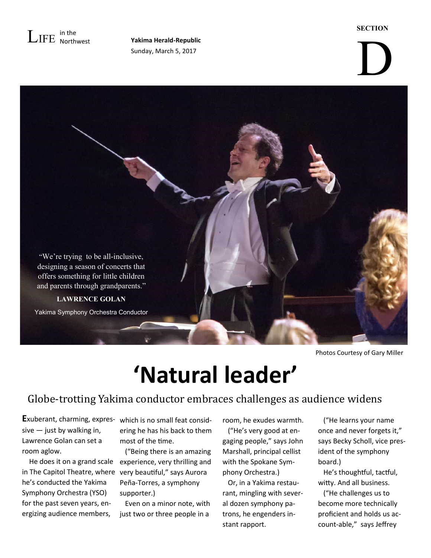

Sunday, March 5, 2017

#### **SECTION**

# D



Photos Courtesy of Gary Miller

## **'Natural leader'**

### Globe-trotting Yakima conductor embraces challenges as audience widens

sive — just by walking in, Lawrence Golan can set a room aglow.

 He does it on a grand scale experience, very thrilling and in The Capitol Theatre, where very beautiful," says Aurora he's conducted the Yakima Symphony Orchestra (YSO) for the past seven years, energizing audience members,

**E**xuberant, charming, expres-which is no small feat considering he has his back to them most of the time.

> ("Being there is an amazing Peña-Torres, a symphony supporter.)

> Even on a minor note, with just two or three people in a

room, he exudes warmth.

 ("He's very good at engaging people," says John Marshall, principal cellist with the Spokane Symphony Orchestra.)

 Or, in a Yakima restaurant, mingling with several dozen symphony patrons, he engenders instant rapport.

 ("He learns your name once and never forgets it," says Becky Scholl, vice president of the symphony board.)

 He's thoughtful, tactful, witty. And all business.

 ("He challenges us to become more technically proficient and holds us account-able," says Jeffrey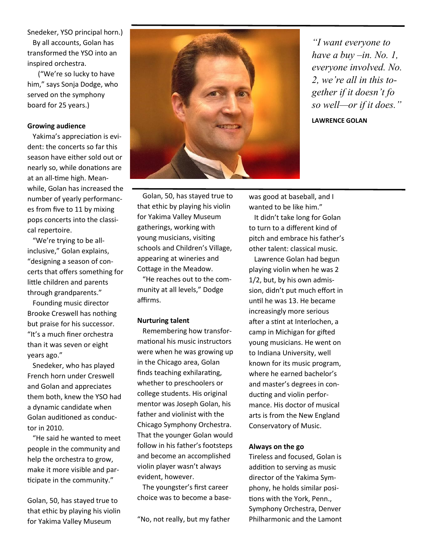Snedeker, YSO principal horn.) By all accounts, Golan has transformed the YSO into an inspired orchestra.

 ("We're so lucky to have him," says Sonja Dodge, who served on the symphony board for 25 years.)

#### **Growing audience**

 Yakima's appreciation is evident: the concerts so far this season have either sold out or nearly so, while donations are at an all-time high. Meanwhile, Golan has increased the number of yearly performances from five to 11 by mixing pops concerts into the classical repertoire.

 "We're trying to be allinclusive," Golan explains, "designing a season of concerts that offers something for little children and parents through grandparents."

 Founding music director Brooke Creswell has nothing but praise for his successor. "It's a much finer orchestra than it was seven or eight years ago."

 Snedeker, who has played French horn under Creswell and Golan and appreciates them both, knew the YSO had a dynamic candidate when Golan auditioned as conductor in 2010.

 "He said he wanted to meet people in the community and help the orchestra to grow, make it more visible and participate in the community."

Golan, 50, has stayed true to that ethic by playing his violin for Yakima Valley Museum



*"I want everyone to have a buy –in. No. 1, everyone involved. No. 2, we're all in this together if it doesn't fo so well—or if it does."*

**LAWRENCE GOLAN**

 Golan, 50, has stayed true to that ethic by playing his violin for Yakima Valley Museum gatherings, working with young musicians, visiting schools and Children's Village, appearing at wineries and Cottage in the Meadow.

 "He reaches out to the community at all levels," Dodge affirms.

#### **Nurturing talent**

 Remembering how transformational his music instructors were when he was growing up in the Chicago area, Golan finds teaching exhilarating, whether to preschoolers or college students. His original mentor was Joseph Golan, his father and violinist with the Chicago Symphony Orchestra. That the younger Golan would follow in his father's footsteps and become an accomplished violin player wasn't always evident, however.

 The youngster's first career choice was to become a base-

"No, not really, but my father

wanted to be like him." It didn't take long for Golan to turn to a different kind of pitch and embrace his father's other talent: classical music.

was good at baseball, and I

 Lawrence Golan had begun playing violin when he was 2 1/2, but, by his own admission, didn't put much effort in until he was 13. He became increasingly more serious after a stint at Interlochen, a camp in Michigan for gifted young musicians. He went on to Indiana University, well known for its music program, where he earned bachelor's and master's degrees in conducting and violin performance. His doctor of musical arts is from the New England Conservatory of Music.

#### **Always on the go**

Tireless and focused, Golan is addition to serving as music director of the Yakima Symphony, he holds similar positions with the York, Penn., Symphony Orchestra, Denver Philharmonic and the Lamont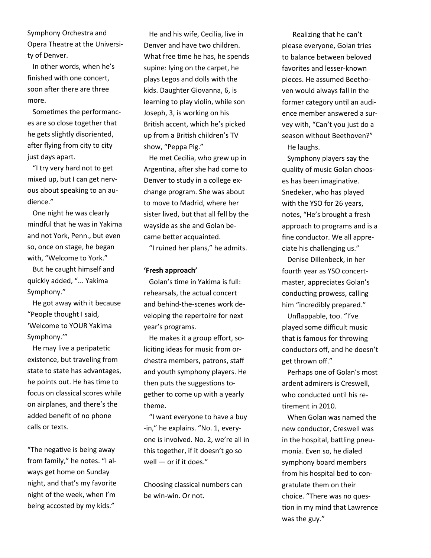Symphony Orchestra and Opera Theatre at the University of Denver.

 In other words, when he's finished with one concert, soon after there are three more.

 Sometimes the performances are so close together that he gets slightly disoriented, after flying from city to city just days apart.

 "I try very hard not to get mixed up, but I can get nervous about speaking to an audience."

 One night he was clearly mindful that he was in Yakima and not York, Penn., but even so, once on stage, he began with, "Welcome to York."

 But he caught himself and quickly added, "... Yakima Symphony."

 He got away with it because "People thought I said, 'Welcome to YOUR Yakima Symphony.'"

 He may live a peripatetic existence, but traveling from state to state has advantages, he points out. He has time to focus on classical scores while on airplanes, and there's the added benefit of no phone calls or texts.

"The negative is being away from family," he notes. "I always get home on Sunday night, and that's my favorite night of the week, when I'm being accosted by my kids."

 He and his wife, Cecilia, live in Denver and have two children. What free time he has, he spends supine: lying on the carpet, he plays Legos and dolls with the kids. Daughter Giovanna, 6, is learning to play violin, while son Joseph, 3, is working on his British accent, which he's picked up from a British children's TV show, "Peppa Pig."

 He met Cecilia, who grew up in Argentina, after she had come to Denver to study in a college exchange program. She was about to move to Madrid, where her sister lived, but that all fell by the wayside as she and Golan became better acquainted.

"I ruined her plans," he admits.

#### **'Fresh approach'**

 Golan's time in Yakima is full: rehearsals, the actual concert and behind-the-scenes work developing the repertoire for next year's programs.

 He makes it a group effort, soliciting ideas for music from orchestra members, patrons, staff and youth symphony players. He then puts the suggestions together to come up with a yearly theme.

 "I want everyone to have a buy -in," he explains. "No. 1, everyone is involved. No. 2, we're all in this together, if it doesn't go so well — or if it does."

Choosing classical numbers can be win-win. Or not.

 Realizing that he can't please everyone, Golan tries to balance between beloved favorites and lesser-known pieces. He assumed Beethoven would always fall in the former category until an audience member answered a survey with, "Can't you just do a season without Beethoven?" He laughs.

 Symphony players say the quality of music Golan chooses has been imaginative. Snedeker, who has played with the YSO for 26 years, notes, "He's brought a fresh approach to programs and is a fine conductor. We all appreciate his challenging us."

 Denise Dillenbeck, in her fourth year as YSO concertmaster, appreciates Golan's conducting prowess, calling him "incredibly prepared."

 Unflappable, too. "I've played some difficult music that is famous for throwing conductors off, and he doesn't get thrown off."

 Perhaps one of Golan's most ardent admirers is Creswell, who conducted until his retirement in 2010.

 When Golan was named the new conductor, Creswell was in the hospital, battling pneumonia. Even so, he dialed symphony board members from his hospital bed to congratulate them on their choice. "There was no question in my mind that Lawrence was the guy."